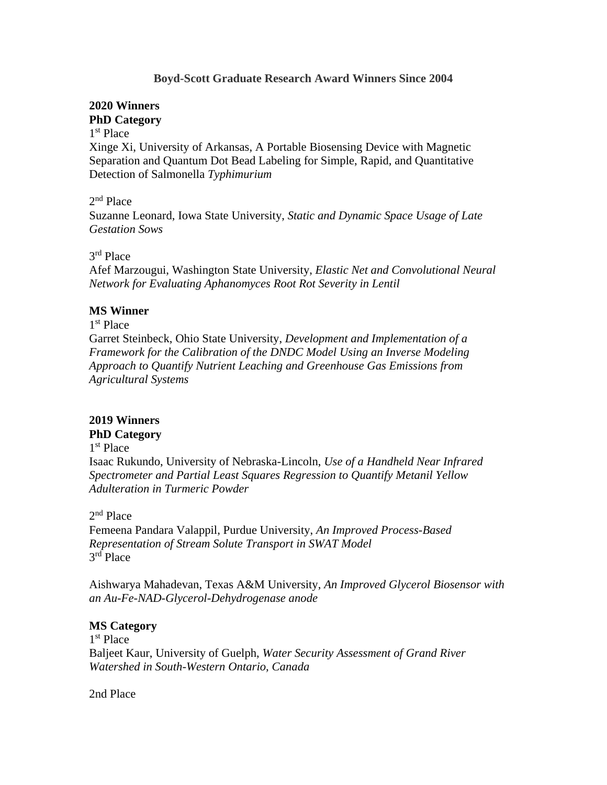## **Boyd-Scott Graduate Research Award Winners Since 2004**

# **2020 Winners PhD Category**

### 1 st Place

Xinge Xi, University of Arkansas, A Portable Biosensing Device with Magnetic Separation and Quantum Dot Bead Labeling for Simple, Rapid, and Quantitative Detection of Salmonella *Typhimurium*

### 2<sup>nd</sup> Place

Suzanne Leonard, Iowa State University, *Static and Dynamic Space Usage of Late Gestation Sows*

# 3 rd Place

Afef Marzougui, Washington State University, *Elastic Net and Convolutional Neural Network for Evaluating Aphanomyces Root Rot Severity in Lentil*

#### **MS Winner**

# 1 st Place

Garret Steinbeck, Ohio State University, *Development and Implementation of a Framework for the Calibration of the DNDC Model Using an Inverse Modeling Approach to Quantify Nutrient Leaching and Greenhouse Gas Emissions from Agricultural Systems*

#### **2019 Winners PhD Category**

## 1 st Place

Isaac Rukundo, University of Nebraska-Lincoln, *Use of a Handheld Near Infrared Spectrometer and Partial Least Squares Regression to Quantify Metanil Yellow Adulteration in Turmeric Powder*

### 2<sup>nd</sup> Place

Femeena Pandara Valappil, Purdue University, *An Improved Process-Based Representation of Stream Solute Transport in SWAT Model* 3 rd Place

Aishwarya Mahadevan, Texas A&M University, *An Improved Glycerol Biosensor with an Au-Fe-NAD-Glycerol-Dehydrogenase anode*

#### **MS Category**

1 st Place Baljeet Kaur, University of Guelph, *Water Security Assessment of Grand River Watershed in South-Western Ontario, Canada*

2nd Place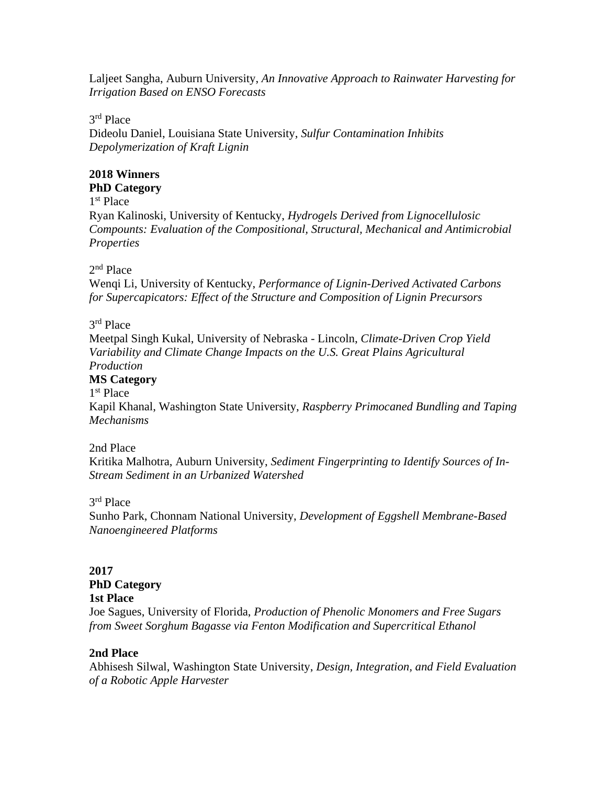Laljeet Sangha, Auburn University, *An Innovative Approach to Rainwater Harvesting for Irrigation Based on ENSO Forecasts*

3 rd Place

Dideolu Daniel, Louisiana State University, *Sulfur Contamination Inhibits Depolymerization of Kraft Lignin*

#### **2018 Winners PhD Category**

1 st Place

Ryan Kalinoski, University of Kentucky, *Hydrogels Derived from Lignocellulosic Compounts: Evaluation of the Compositional, Structural, Mechanical and Antimicrobial Properties*

# 2<sup>nd</sup> Place

Wenqi Li, University of Kentucky, *Performance of Lignin-Derived Activated Carbons for Supercapicators: Effect of the Structure and Composition of Lignin Precursors*

# 3 rd Place

Meetpal Singh Kukal, University of Nebraska - Lincoln, *Climate-Driven Crop Yield Variability and Climate Change Impacts on the U.S. Great Plains Agricultural Production*

# **MS Category**

1 st Place

Kapil Khanal, Washington State University, *Raspberry Primocaned Bundling and Taping Mechanisms*

#### 2nd Place

Kritika Malhotra, Auburn University, *Sediment Fingerprinting to Identify Sources of In-Stream Sediment in an Urbanized Watershed*

# 3 rd Place

Sunho Park, Chonnam National University, *Development of Eggshell Membrane-Based Nanoengineered Platforms*

#### **2017 PhD Category 1st Place**

Joe Sagues, University of Florida, *Production of Phenolic Monomers and Free Sugars from Sweet Sorghum Bagasse via Fenton Modification and Supercritical Ethanol*

# **2nd Place**

Abhisesh Silwal, Washington State University, *Design, Integration, and Field Evaluation of a Robotic Apple Harvester*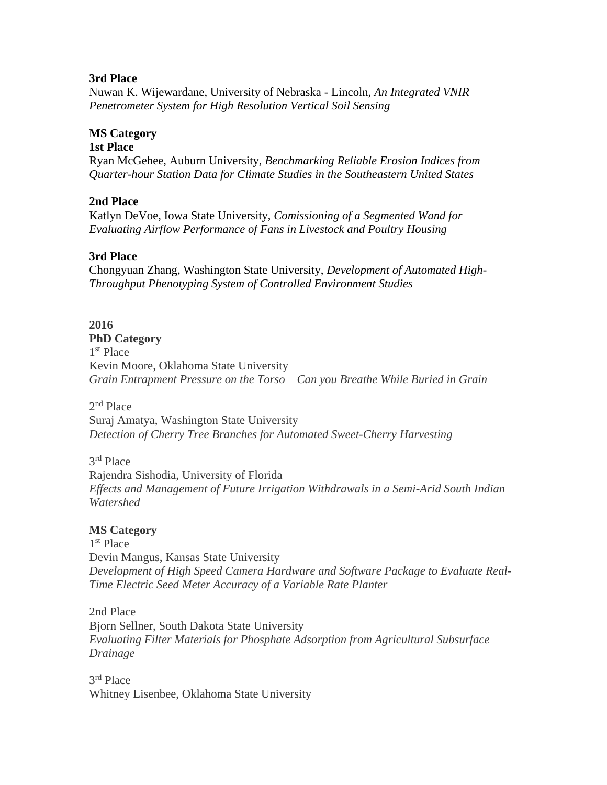## **3rd Place**

Nuwan K. Wijewardane, University of Nebraska - Lincoln, *An Integrated VNIR Penetrometer System for High Resolution Vertical Soil Sensing*

# **MS Category**

**1st Place**

Ryan McGehee, Auburn University, *Benchmarking Reliable Erosion Indices from Quarter-hour Station Data for Climate Studies in the Southeastern United States*

# **2nd Place**

Katlyn DeVoe, Iowa State University, *Comissioning of a Segmented Wand for Evaluating Airflow Performance of Fans in Livestock and Poultry Housing*

# **3rd Place**

Chongyuan Zhang, Washington State University, *Development of Automated High-Throughput Phenotyping System of Controlled Environment Studies*

# **2016**

**PhD Category** 1 st Place Kevin Moore, Oklahoma State University *[Grain Entrapment Pressure on the Torso –](http://www.asabe.org/media/163596/kevin_moore__phd_entry_form_and_paper.pdf) Can you Breathe While Buried in Grain*

2<sup>nd</sup> Place

Suraj Amatya, Washington State University *[Detection of Cherry Tree Branches for Automated Sweet-Cherry Harvesting](http://www.asabe.org/media/163611/suraj_amatya__phd_entry_form_and_paper.pdf)*

3 rd Place Rajendra Sishodia, University of Florida *[Effects and Management of Future Irrigation Withdrawals in a Semi-Arid South Indian](http://www.asabe.org/media/163614/rajendra_sishodia__phd_entry_form_and_paper.pdf)* 

# **MS Category**

*[Watershed](http://www.asabe.org/media/163614/rajendra_sishodia__phd_entry_form_and_paper.pdf)*

1 st Place Devin Mangus, Kansas State University *[Development of High Speed Camera Hardware and Software Package to Evaluate Real-](http://www.asabe.org/media/163583/devin_magnus__ms_entry_form_and_paper.pdf)[Time Electric Seed Meter Accuracy of a Variable Rate Planter](http://www.asabe.org/media/163583/devin_magnus__ms_entry_form_and_paper.pdf)*

2nd Place Bjorn Sellner, South Dakota State University *[Evaluating Filter Materials for Phosphate Adsorption from Agricultural Subsurface](http://www.asabe.org/media/163586/bjorn_sellner__ms__entry_form_and_paper.pdf)  [Drainage](http://www.asabe.org/media/163586/bjorn_sellner__ms__entry_form_and_paper.pdf)*

3 rd Place Whitney Lisenbee, Oklahoma State University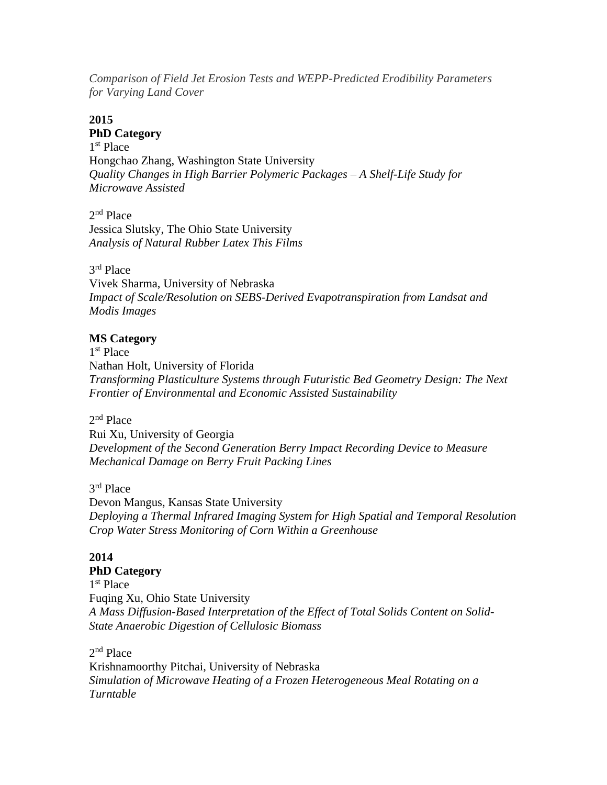*[Comparison of Field Jet Erosion Tests and WEPP-Predicted Erodibility Parameters](http://www.asabe.org/media/163589/whitney_lisenbee__ms_entry_form_and_paper.pdf)  for [Varying Land Cover](http://www.asabe.org/media/163589/whitney_lisenbee__ms_entry_form_and_paper.pdf)*

# **2015**

#### **PhD Category**

1 st Place Hongchao Zhang, Washington State University *Quality Changes in High Barrier Polymeric Packages – A Shelf-Life Study for Microwave Assisted*

2<sup>nd</sup> Place Jessica Slutsky, The Ohio State University *Analysis of Natural Rubber Latex This Films*

# 3 rd Place

Vivek Sharma, University of Nebraska *Impact of Scale/Resolution on SEBS-Derived Evapotranspiration from Landsat and Modis Images*

# **MS Category**

1 st Place Nathan Holt, University of Florida *Transforming Plasticulture Systems through Futuristic Bed Geometry Design: The Next Frontier of Environmental and Economic Assisted Sustainability*

# 2<sup>nd</sup> Place

Rui Xu, University of Georgia *Development of the Second Generation Berry Impact Recording Device to Measure Mechanical Damage on Berry Fruit Packing Lines*

## 3 rd Place

Devon Mangus, Kansas State University *Deploying a Thermal Infrared Imaging System for High Spatial and Temporal Resolution Crop Water Stress Monitoring of Corn Within a Greenhouse*

# **2014**

# **PhD Category**

1 st Place Fuqing Xu, Ohio State University *A Mass Diffusion-Based Interpretation of the Effect of Total Solids Content on Solid-State Anaerobic Digestion of Cellulosic Biomass*

# 2<sup>nd</sup> Place

Krishnamoorthy Pitchai, University of Nebraska *Simulation of Microwave Heating of a Frozen Heterogeneous Meal Rotating on a Turntable*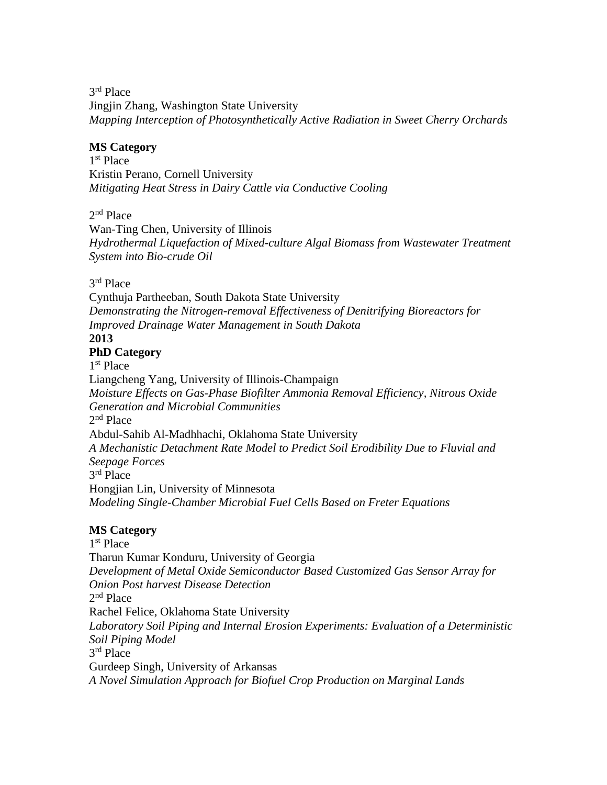3 rd Place Jingjin Zhang, Washington State University *Mapping Interception of Photosynthetically Active Radiation in Sweet Cherry Orchards*

# **MS Category**

1 st Place Kristin Perano, Cornell University *Mitigating Heat Stress in Dairy Cattle via Conductive Cooling*

2<sup>nd</sup> Place

Wan-Ting Chen, University of Illinois *Hydrothermal Liquefaction of Mixed-culture Algal Biomass from Wastewater Treatment System into Bio-crude Oil*

3 rd Place

Cynthuja Partheeban, South Dakota State University *Demonstrating the Nitrogen-removal Effectiveness of Denitrifying Bioreactors for Improved Drainage Water Management in South Dakota* **2013**

# **PhD Category**

1 st Place

Liangcheng Yang, University of Illinois-Champaign *Moisture Effects on Gas-Phase Biofilter Ammonia Removal Efficiency, Nitrous Oxide Generation and Microbial Communities* 2<sup>nd</sup> Place Abdul-Sahib Al-Madhhachi, Oklahoma State University *A Mechanistic Detachment Rate Model to Predict Soil Erodibility Due to Fluvial and Seepage Forces* 3 rd Place Hongjian Lin, University of Minnesota *Modeling Single-Chamber Microbial Fuel Cells Based on Freter Equations*

# **MS Category**

1 st Place Tharun Kumar Konduru, University of Georgia *Development of Metal Oxide Semiconductor Based Customized Gas Sensor Array for Onion Post harvest Disease Detection* 2<sup>nd</sup> Place Rachel Felice, Oklahoma State University *Laboratory Soil Piping and Internal Erosion Experiments: Evaluation of a Deterministic Soil Piping Model* 3 rd Place Gurdeep Singh, University of Arkansas *A Novel Simulation Approach for Biofuel Crop Production on Marginal Lands*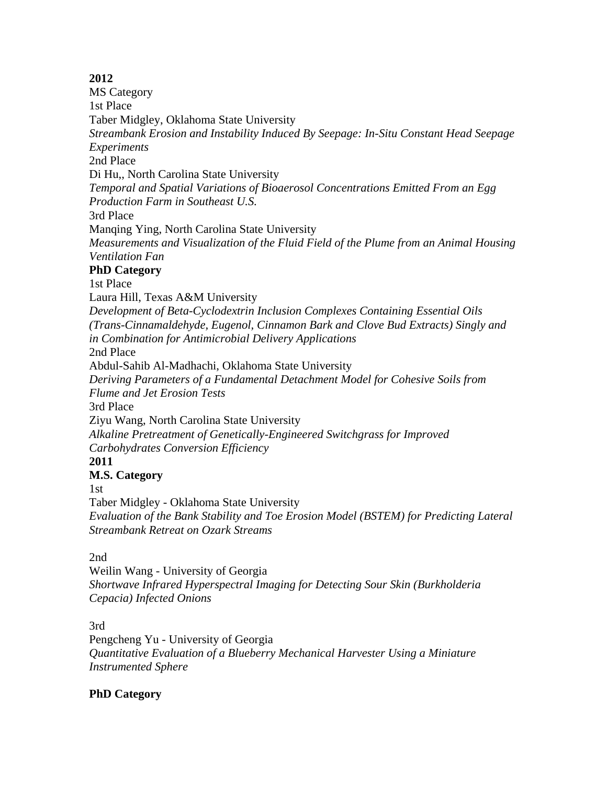# **2012**

MS Category 1st Place Taber Midgley, Oklahoma State University *[Streambank Erosion and Instability Induced By Seepage: In-Situ Constant](http://www.asabe.org/media/42263/taber_midgley_-_ok_state_-_entry_form___paper.pdf) Head Seepage [Experiments](http://www.asabe.org/media/42263/taber_midgley_-_ok_state_-_entry_form___paper.pdf)* 2nd Place Di Hu,, North Carolina State University *[Temporal and Spatial Variations of Bioaerosol Concentrations Emitted From an Egg](http://www.asabe.org/media/42266/di_hu_-_nc_state_-_entry_form___paper.pdf)  [Production Farm in Southeast U.S.](http://www.asabe.org/media/42266/di_hu_-_nc_state_-_entry_form___paper.pdf)* 3rd Place Manqing Ying, North Carolina State University *[Measurements and Visualization of the Fluid Field of the Plume from an Animal Housing](http://www.asabe.org/media/42269/manqing_ying_-_nc_state_-_entry_form___paper.pdf)  [Ventilation Fan](http://www.asabe.org/media/42269/manqing_ying_-_nc_state_-_entry_form___paper.pdf)* **PhD Category** 1st Place Laura Hill, Texas A&M University *[Development of Beta-Cyclodextrin Inclusion Complexes Containing Essential Oils](http://www.asabe.org/media/42272/laura_hill_-_texas_a_m_-_paper.pdf)  [\(Trans-Cinnamaldehyde, Eugenol, Cinnamon Bark and Clove Bud Extracts\) Singly and](http://www.asabe.org/media/42272/laura_hill_-_texas_a_m_-_paper.pdf)  [in Combination for Antimicrobial Delivery Applications](http://www.asabe.org/media/42272/laura_hill_-_texas_a_m_-_paper.pdf)* 2nd Place Abdul-Sahib Al-Madhachi, Oklahoma State University *[Deriving Parameters of a Fundamental Detachment Model for Cohesive Soils from](http://www.asabe.org/media/42275/abdul-sahib_al-madhachi_-_ok_state_-_paper.pdf)  [Flume and Jet Erosion Tests](http://www.asabe.org/media/42275/abdul-sahib_al-madhachi_-_ok_state_-_paper.pdf)* 3rd Place Ziyu Wang, North Carolina State University *[Alkaline Pretreatment of Genetically-Engineered Switchgrass for Improved](http://www.asabe.org/media/42278/ziyu_wang_-_n.c._state_-_paper.pdf)  [Carbohydrates Conversion Efficiency](http://www.asabe.org/media/42278/ziyu_wang_-_n.c._state_-_paper.pdf)* **2011 M.S. Category** 1st Taber Midgley - Oklahoma State University *[Evaluation of the Bank Stability and Toe Erosion Model \(BSTEM\) for Predicting Lateral](http://www.asabe.org/media/42263/taber_midgley_-_cover___paper_entry.pdf)  [Streambank Retreat on Ozark Streams](http://www.asabe.org/media/42263/taber_midgley_-_cover___paper_entry.pdf)*

# 2nd

Weilin Wang - University of Georgia *[Shortwave Infrared Hyperspectral Imaging for Detecting Sour Skin \(Burkholderia](http://www.asabe.org/media/42266/weilin_wang_-_cover___paper_entry.pdf)  [Cepacia\) Infected Onions](http://www.asabe.org/media/42266/weilin_wang_-_cover___paper_entry.pdf)*

3rd

Pengcheng Yu - University of Georgia *[Quantitative Evaluation of a Blueberry Mechanical Harvester Using a Miniature](http://www.asabe.org/media/42269/pengcheng_yu_paper.pdf)  [Instrumented Sphere](http://www.asabe.org/media/42269/pengcheng_yu_paper.pdf)*

# **PhD Category**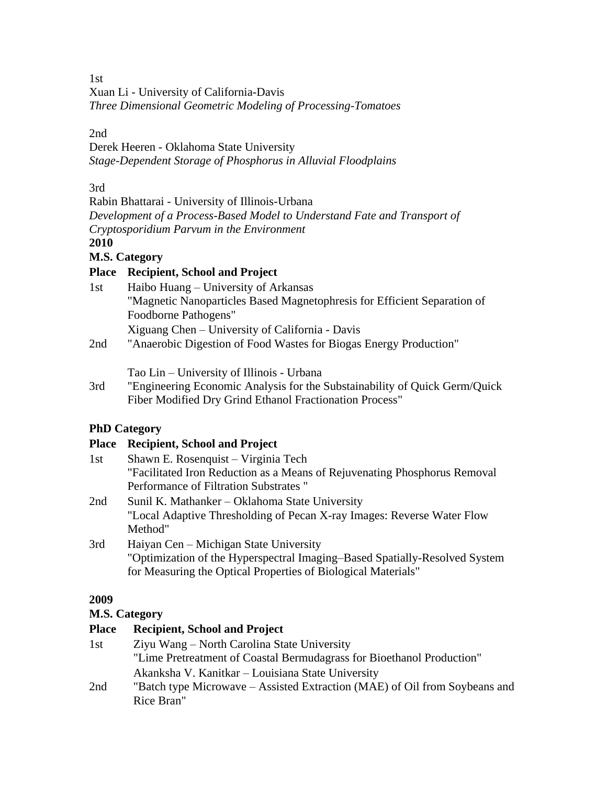1st

Xuan Li - University of California-Davis *[Three Dimensional Geometric Modeling of Processing-Tomatoes](http://www.asabe.org/media/42272/xuan_li_-_paper_entry.pdf)*

2nd

Derek Heeren - Oklahoma State University *[Stage-Dependent Storage of Phosphorus in](http://www.asabe.org/media/42275/derek_m._heeren_-_paper_entry.pdf) Alluvial Floodplains*

3rd

Rabin Bhattarai - University of Illinois-Urbana *[Development of a Process-Based Model to Understand Fate and Transport of](http://www.asabe.org/media/42278/rabin_bhattarai_-_paper_entry.pdf)  [Cryptosporidium Parvum in](http://www.asabe.org/media/42278/rabin_bhattarai_-_paper_entry.pdf) the Environment* **2010**

**M.S. Category**

# **Place Recipient, School and Project**

- 1st Haibo Huang University of Arkansas ["Magnetic Nanoparticles Based Magnetophresis for Efficient Separation of](http://www.asabe.org/awards/competitions/2010_Graduate_winners/Haibo%20Huang%20-%20M.S.%20paper.pdf)  [Foodborne Pathogens"](http://www.asabe.org/awards/competitions/2010_Graduate_winners/Haibo%20Huang%20-%20M.S.%20paper.pdf) Xiguang Chen – University of California - Davis
- 2nd ["Anaerobic Digestion of Food Wastes for Biogas Energy Production"](http://www.asabe.org/awards/competitions/2010_Graduate_winners/Xiguang%20Chen%20paper%20M.S.pdf)

Tao Lin – University of Illinois - Urbana

3rd ["Engineering Economic Analysis for the Substainability of Quick Germ/Quick](http://www.asabe.org/awards/competitions/2010_Graduate_winners/Tao%20Lin%20-%20M.S.%20paper%20&%20form.pdf)  [Fiber Modified Dry Grind Ethanol Fractionation Process"](http://www.asabe.org/awards/competitions/2010_Graduate_winners/Tao%20Lin%20-%20M.S.%20paper%20&%20form.pdf)

# **PhD Category**

# **Place Recipient, School and Project**

| 1st | Shawn E. Rosenquist – Virginia Tech                                        |
|-----|----------------------------------------------------------------------------|
|     | "Facilitated Iron Reduction as a Means of Rejuvenating Phosphorus Removal  |
|     | Performance of Filtration Substrates "                                     |
| 2nd | Sunil K. Mathanker – Oklahoma State University                             |
|     | "Local Adaptive Thresholding of Pecan X-ray Images: Reverse Water Flow     |
|     | Method"                                                                    |
| 3rd | Haiyan Cen – Michigan State University                                     |
|     | "Optimization of the Hyperspectral Imaging-Based Spatially-Resolved System |
|     | for Measuring the Optical Properties of Biological Materials"              |

# **2009**

# **M.S. Category**

# **Place Recipient, School and Project**

| 1st | Ziyu Wang – North Carolina State University                                |
|-----|----------------------------------------------------------------------------|
|     | "Lime Pretreatment of Coastal Bermudagrass for Bioethanol Production"      |
|     | Akanksha V. Kanitkar – Louisiana State University                          |
| 2nd | "Batch type Microwave – Assisted Extraction (MAE) of Oil from Soybeans and |
|     | Rice Bran"                                                                 |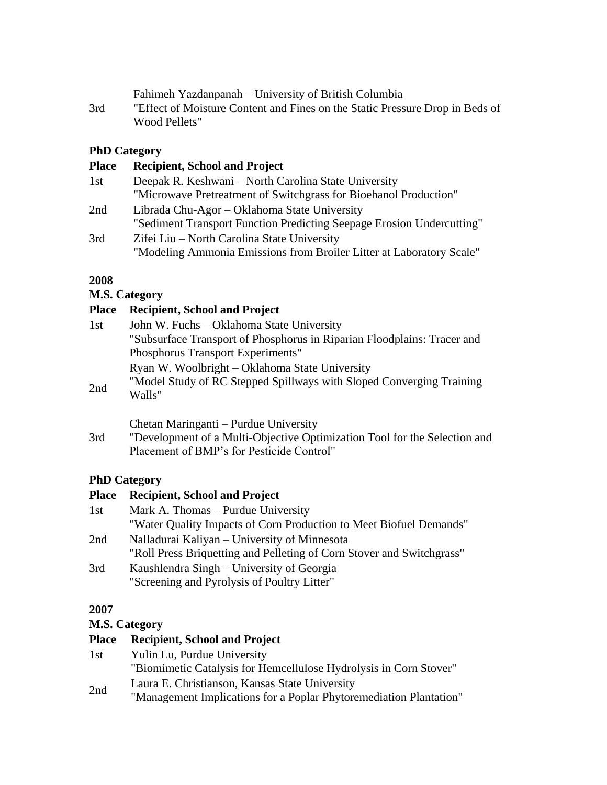Fahimeh Yazdanpanah – University of British Columbia

3rd ["Effect of Moisture Content and Fines on the Static Pressure Drop in Beds of](http://www.asabe.org/awards/competitions/2009_Graduate_winners/Fahimeh%20Yazdanpanah%20-%20cover%20&%20Paper%20Entry.pdf)  [Wood Pellets"](http://www.asabe.org/awards/competitions/2009_Graduate_winners/Fahimeh%20Yazdanpanah%20-%20cover%20&%20Paper%20Entry.pdf)

# **PhD Category**

| <b>Place</b> | <b>Recipient, School and Project</b>                                  |
|--------------|-----------------------------------------------------------------------|
| 1st          | Deepak R. Keshwani – North Carolina State University                  |
|              | "Microwave Pretreatment of Switchgrass for Bioehanol Production"      |
| 2nd          | Librada Chu-Agor – Oklahoma State University                          |
|              | "Sediment Transport Function Predicting Seepage Erosion Undercutting" |
| 3rd          | Zifei Liu – North Carolina State University                           |
|              | "Modeling Ammonia Emissions from Broiler Litter at Laboratory Scale"  |

# **2008**

# **M.S. Category**

# **Place Recipient, School and Project**

| 1st | John W. Fuchs – Oklahoma State University                               |
|-----|-------------------------------------------------------------------------|
|     | "Subsurface Transport of Phosphorus in Riparian Floodplains: Tracer and |
|     | Phosphorus Transport Experiments"                                       |
|     | Ryan W. Woolbright – Oklahoma State University                          |
| 2nd | "Model Study of RC Stepped Spillways with Sloped Converging Training    |
|     | Walls"                                                                  |
|     |                                                                         |

Chetan Maringanti – Purdue University

3rd ["Development of a Multi-Objective Optimization Tool for the Selection and](http://www.asabe.org/awards/competitions/Chetan%20Maringanti%20Paper%20Entry.doc)  [Placement of BMP's for Pesticide Control"](http://www.asabe.org/awards/competitions/Chetan%20Maringanti%20Paper%20Entry.doc)

# **PhD Category**

| <b>Place</b> | <b>Recipient, School and Project</b>                                  |
|--------------|-----------------------------------------------------------------------|
| 1st          | Mark A. Thomas – Purdue University                                    |
|              | "Water Quality Impacts of Corn Production to Meet Biofuel Demands"    |
| 2nd          | Nalladurai Kaliyan – University of Minnesota                          |
|              | "Roll Press Briquetting and Pelleting of Corn Stover and Switchgrass" |
| 3rd          | Kaushlendra Singh – University of Georgia                             |
|              | "Screening and Pyrolysis of Poultry Litter"                           |
|              |                                                                       |

# **2007**

# **M.S. Category**

| <b>Place</b> | <b>Recipient, School and Project</b>                               |
|--------------|--------------------------------------------------------------------|
| 1st          | Yulin Lu, Purdue University                                        |
|              | "Biomimetic Catalysis for Hemcellulose Hydrolysis in Corn Stover"  |
| 2nd          | Laura E. Christianson, Kansas State University                     |
|              | "Management Implications for a Poplar Phytoremediation Plantation" |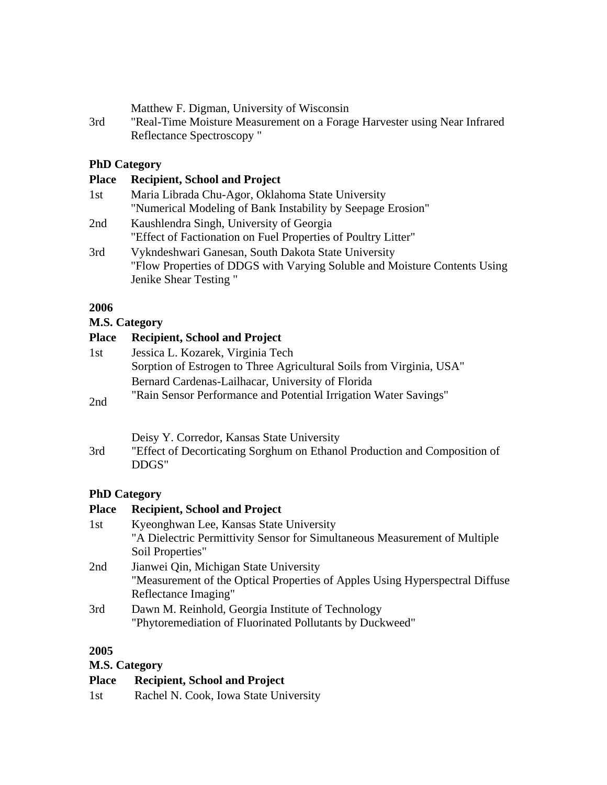|  |  | Matthew F. Digman, University of Wisconsin |  |  |
|--|--|--------------------------------------------|--|--|
|--|--|--------------------------------------------|--|--|

3rd ["Real-Time Moisture Measurement on a Forage Harvester using Near Infrared](http://www.asabe.org/awards/competitions/2007_Graduate_Winners/Matthew%20F.%20Digman.doc)  [Reflectance Spectroscopy "](http://www.asabe.org/awards/competitions/2007_Graduate_Winners/Matthew%20F.%20Digman.doc)

# **PhD Category**

| <b>Recipient, School and Project</b>                                      |
|---------------------------------------------------------------------------|
| Maria Librada Chu-Agor, Oklahoma State University                         |
| "Numerical Modeling of Bank Instability by Seepage Erosion"               |
| Kaushlendra Singh, University of Georgia                                  |
| "Effect of Factionation on Fuel Properties of Poultry Litter"             |
| Vykndeshwari Ganesan, South Dakota State University                       |
| "Flow Properties of DDGS with Varying Soluble and Moisture Contents Using |
| Jenike Shear Testing"                                                     |
|                                                                           |

# **2006**

#### **M.S. Category**

# **Place Recipient, School and Project**

| 1st            | Jessica L. Kozarek, Virginia Tech                                    |
|----------------|----------------------------------------------------------------------|
|                | Sorption of Estrogen to Three Agricultural Soils from Virginia, USA" |
|                | Bernard Cardenas-Lailhacar, University of Florida                    |
| $\sum_{i=1}^n$ | "Rain Sensor Performance and Potential Irrigation Water Savings"     |

2nd

3rd ["Effect of Decorticating Sorghum on Ethanol Production and Composition of](http://www.asabe.org/awards/competitions/2006_Graduate_Winners/DeisyCorredorMS.doc)  [DDGS"](http://www.asabe.org/awards/competitions/2006_Graduate_Winners/DeisyCorredorMS.doc)

# **PhD Category**

| <b>Place</b> | <b>Recipient, School and Project</b>                                         |
|--------------|------------------------------------------------------------------------------|
| 1st          | Kyeonghwan Lee, Kansas State University                                      |
|              | "A Dielectric Permittivity Sensor for Simultaneous Measurement of Multiple   |
|              | Soil Properties"                                                             |
| 2nd          | Jianwei Qin, Michigan State University                                       |
|              | "Measurement of the Optical Properties of Apples Using Hyperspectral Diffuse |
|              | Reflectance Imaging"                                                         |
| 3rd          | Dawn M. Reinhold, Georgia Institute of Technology                            |
|              | "Phytoremediation of Fluorinated Pollutants by Duckweed"                     |
|              |                                                                              |

#### **2005**

## **M.S. Category**

# **Place Recipient, School and Project**

1st Rachel N. Cook, Iowa State University